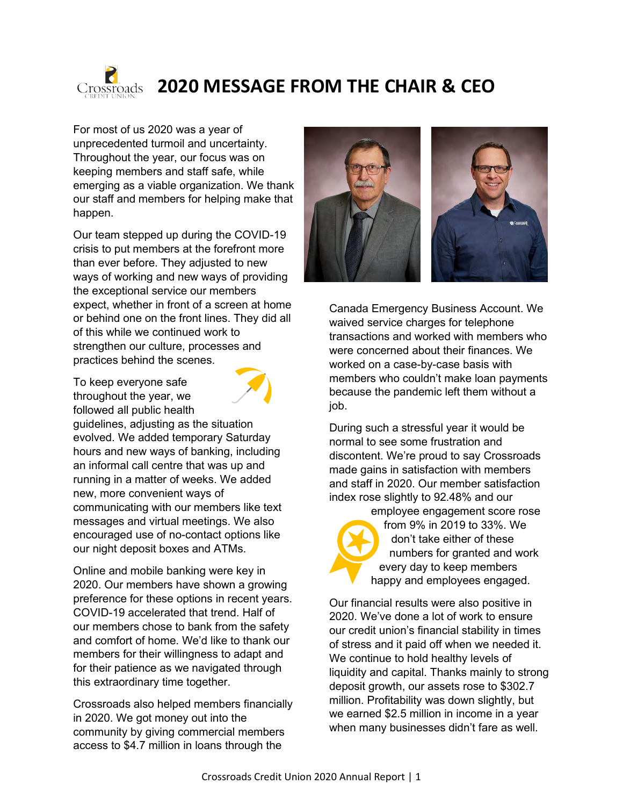

## **2020 MESSAGE FROM THE CHAIR & CEO**

For most of us 2020 was a year of unprecedented turmoil and uncertainty. Throughout the year, our focus was on keeping members and staff safe, while emerging as a viable organization. We thank our staff and members for helping make that happen.

Our team stepped up during the COVID-19 crisis to put members at the forefront more than ever before. They adjusted to new ways of working and new ways of providing the exceptional service our members expect, whether in front of a screen at home or behind one on the front lines. They did all of this while we continued work to strengthen our culture, processes and practices behind the scenes.

To keep everyone safe throughout the year, we followed all public health



guidelines, adjusting as the situation evolved. We added temporary Saturday hours and new ways of banking, including an informal call centre that was up and running in a matter of weeks. We added new, more convenient ways of communicating with our members like text messages and virtual meetings. We also encouraged use of no-contact options like our night deposit boxes and ATMs.

Online and mobile banking were key in 2020. Our members have shown a growing preference for these options in recent years. COVID-19 accelerated that trend. Half of our members chose to bank from the safety and comfort of home. We'd like to thank our members for their willingness to adapt and for their patience as we navigated through this extraordinary time together.

Crossroads also helped members financially in 2020. We got money out into the community by giving commercial members access to \$4.7 million in loans through the



Canada Emergency Business Account. We waived service charges for telephone transactions and worked with members who were concerned about their finances. We worked on a case-by-case basis with members who couldn't make loan payments because the pandemic left them without a job.

During such a stressful year it would be normal to see some frustration and discontent. We're proud to say Crossroads made gains in satisfaction with members and staff in 2020. Our member satisfaction index rose slightly to 92.48% and our

employee engagement score rose from 9% in 2019 to 33%. We don't take either of these numbers for granted and work every day to keep members happy and employees engaged.

Our financial results were also positive in 2020. We've done a lot of work to ensure our credit union's financial stability in times of stress and it paid off when we needed it. We continue to hold healthy levels of liquidity and capital. Thanks mainly to strong deposit growth, our assets rose to \$302.7 million. Profitability was down slightly, but we earned \$2.5 million in income in a year when many businesses didn't fare as well.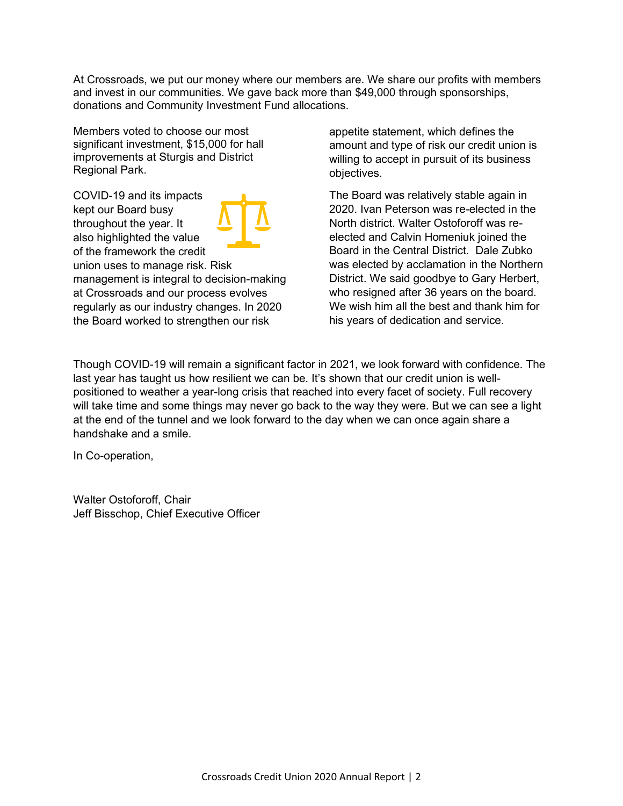At Crossroads, we put our money where our members are. We share our profits with members and invest in our communities. We gave back more than \$49,000 through sponsorships, donations and Community Investment Fund allocations.

Members voted to choose our most significant investment, \$15,000 for hall improvements at Sturgis and District Regional Park.

COVID-19 and its impacts kept our Board busy throughout the year. It also highlighted the value of the framework the credit union uses to manage risk. Risk management is integral to decision-making at Crossroads and our process evolves regularly as our industry changes. In 2020 the Board worked to strengthen our risk

appetite statement, which defines the amount and type of risk our credit union is willing to accept in pursuit of its business objectives.

The Board was relatively stable again in 2020. Ivan Peterson was re-elected in the North district. Walter Ostoforoff was reelected and Calvin Homeniuk joined the Board in the Central District. Dale Zubko was elected by acclamation in the Northern District. We said goodbye to Gary Herbert, who resigned after 36 years on the board. We wish him all the best and thank him for his years of dedication and service.

Though COVID-19 will remain a significant factor in 2021, we look forward with confidence. The last year has taught us how resilient we can be. It's shown that our credit union is wellpositioned to weather a year-long crisis that reached into every facet of society. Full recovery will take time and some things may never go back to the way they were. But we can see a light at the end of the tunnel and we look forward to the day when we can once again share a handshake and a smile.

In Co-operation,

Walter Ostoforoff, Chair Jeff Bisschop, Chief Executive Officer